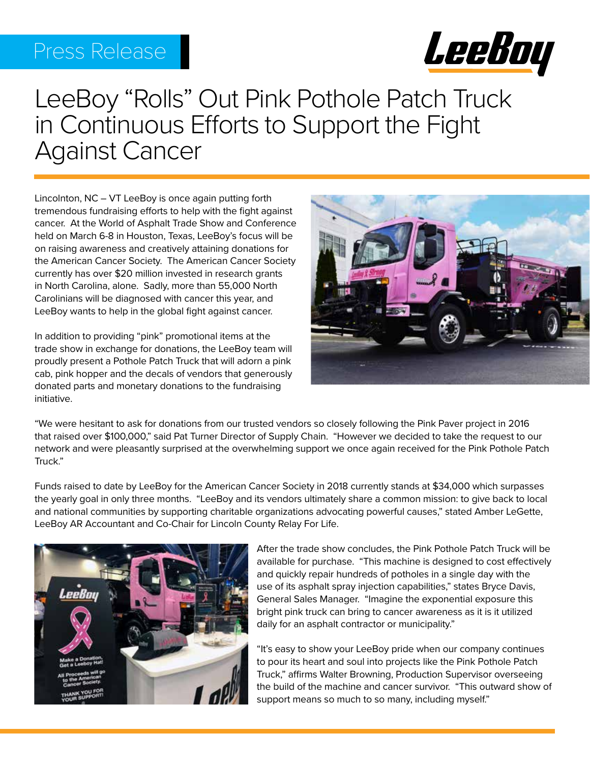# Press Release



# LeeBoy "Rolls" Out Pink Pothole Patch Truck in Continuous Efforts to Support the Fight Against Cancer

Lincolnton, NC – VT LeeBoy is once again putting forth tremendous fundraising efforts to help with the fight against cancer. At the World of Asphalt Trade Show and Conference held on March 6-8 in Houston, Texas, LeeBoy's focus will be on raising awareness and creatively attaining donations for the American Cancer Society. The American Cancer Society currently has over \$20 million invested in research grants in North Carolina, alone. Sadly, more than 55,000 North Carolinians will be diagnosed with cancer this year, and LeeBoy wants to help in the global fight against cancer.

In addition to providing "pink" promotional items at the trade show in exchange for donations, the LeeBoy team will proudly present a Pothole Patch Truck that will adorn a pink cab, pink hopper and the decals of vendors that generously donated parts and monetary donations to the fundraising initiative.



"We were hesitant to ask for donations from our trusted vendors so closely following the Pink Paver project in 2016 that raised over \$100,000," said Pat Turner Director of Supply Chain. "However we decided to take the request to our network and were pleasantly surprised at the overwhelming support we once again received for the Pink Pothole Patch Truck."

Funds raised to date by LeeBoy for the American Cancer Society in 2018 currently stands at \$34,000 which surpasses the yearly goal in only three months. "LeeBoy and its vendors ultimately share a common mission: to give back to local and national communities by supporting charitable organizations advocating powerful causes," stated Amber LeGette, LeeBoy AR Accountant and Co-Chair for Lincoln County Relay For Life.



After the trade show concludes, the Pink Pothole Patch Truck will be available for purchase. "This machine is designed to cost effectively and quickly repair hundreds of potholes in a single day with the use of its asphalt spray injection capabilities," states Bryce Davis, General Sales Manager. "Imagine the exponential exposure this bright pink truck can bring to cancer awareness as it is it utilized daily for an asphalt contractor or municipality."

"It's easy to show your LeeBoy pride when our company continues to pour its heart and soul into projects like the Pink Pothole Patch Truck," affirms Walter Browning, Production Supervisor overseeing the build of the machine and cancer survivor. "This outward show of support means so much to so many, including myself."